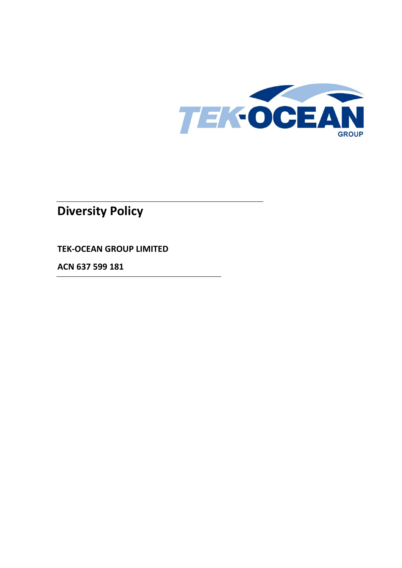

# **Diversity Policy**

**TEK-OCEAN GROUP LIMITED**

**ACN 637 599 181**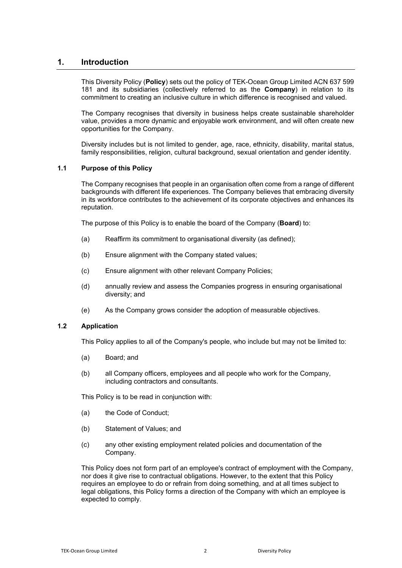## **1. Introduction**

This Diversity Policy (**Policy**) sets out the policy of TEK-Ocean Group Limited ACN 637 599 181 and its subsidiaries (collectively referred to as the **Company**) in relation to its commitment to creating an inclusive culture in which difference is recognised and valued.

The Company recognises that diversity in business helps create sustainable shareholder value, provides a more dynamic and enjoyable work environment, and will often create new opportunities for the Company.

Diversity includes but is not limited to gender, age, race, ethnicity, disability, marital status, family responsibilities, religion, cultural background, sexual orientation and gender identity.

### **1.1 Purpose of this Policy**

The Company recognises that people in an organisation often come from a range of different backgrounds with different life experiences. The Company believes that embracing diversity in its workforce contributes to the achievement of its corporate objectives and enhances its reputation.

The purpose of this Policy is to enable the board of the Company (**Board**) to:

- (a) Reaffirm its commitment to organisational diversity (as defined);
- (b) Ensure alignment with the Company stated values;
- (c) Ensure alignment with other relevant Company Policies;
- (d) annually review and assess the Companies progress in ensuring organisational diversity; and
- (e) As the Company grows consider the adoption of measurable objectives.

#### **1.2 Application**

This Policy applies to all of the Company's people, who include but may not be limited to:

- (a) Board; and
- (b) all Company officers, employees and all people who work for the Company, including contractors and consultants.

This Policy is to be read in conjunction with:

- (a) the Code of Conduct;
- (b) Statement of Values; and
- (c) any other existing employment related policies and documentation of the Company.

This Policy does not form part of an employee's contract of employment with the Company, nor does it give rise to contractual obligations. However, to the extent that this Policy requires an employee to do or refrain from doing something, and at all times subject to legal obligations, this Policy forms a direction of the Company with which an employee is expected to comply.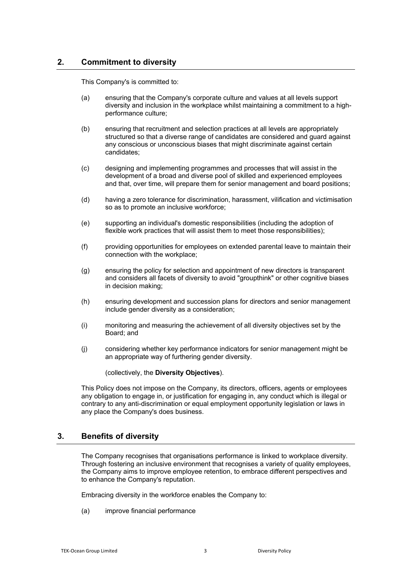# **2. Commitment to diversity**

This Company's is committed to:

- (a) ensuring that the Company's corporate culture and values at all levels support diversity and inclusion in the workplace whilst maintaining a commitment to a highperformance culture;
- (b) ensuring that recruitment and selection practices at all levels are appropriately structured so that a diverse range of candidates are considered and guard against any conscious or unconscious biases that might discriminate against certain candidates;
- (c) designing and implementing programmes and processes that will assist in the development of a broad and diverse pool of skilled and experienced employees and that, over time, will prepare them for senior management and board positions;
- (d) having a zero tolerance for discrimination, harassment, vilification and victimisation so as to promote an inclusive workforce;
- (e) supporting an individual's domestic responsibilities (including the adoption of flexible work practices that will assist them to meet those responsibilities);
- (f) providing opportunities for employees on extended parental leave to maintain their connection with the workplace;
- (g) ensuring the policy for selection and appointment of new directors is transparent and considers all facets of diversity to avoid "groupthink" or other cognitive biases in decision making;
- (h) ensuring development and succession plans for directors and senior management include gender diversity as a consideration;
- (i) monitoring and measuring the achievement of all diversity objectives set by the Board; and
- (j) considering whether key performance indicators for senior management might be an appropriate way of furthering gender diversity.

(collectively, the **Diversity Objectives**).

This Policy does not impose on the Company, its directors, officers, agents or employees any obligation to engage in, or justification for engaging in, any conduct which is illegal or contrary to any anti-discrimination or equal employment opportunity legislation or laws in any place the Company's does business.

# **3. Benefits of diversity**

The Company recognises that organisations performance is linked to workplace diversity. Through fostering an inclusive environment that recognises a variety of quality employees, the Company aims to improve employee retention, to embrace different perspectives and to enhance the Company's reputation.

Embracing diversity in the workforce enables the Company to:

(a) improve financial performance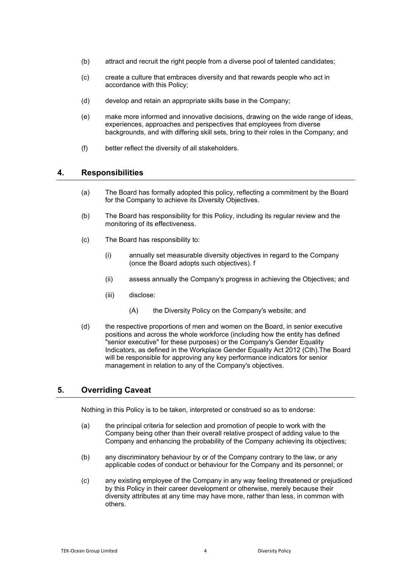- (b) attract and recruit the right people from a diverse pool of talented candidates;
- (c) create a culture that embraces diversity and that rewards people who act in accordance with this Policy;
- (d) develop and retain an appropriate skills base in the Company;
- (e) make more informed and innovative decisions, drawing on the wide range of ideas, experiences, approaches and perspectives that employees from diverse backgrounds, and with differing skill sets, bring to their roles in the Company; and
- (f) better reflect the diversity of all stakeholders.

## **4. Responsibilities**

- (a) The Board has formally adopted this policy, reflecting a commitment by the Board for the Company to achieve its Diversity Objectives.
- (b) The Board has responsibility for this Policy, including its regular review and the monitoring of its effectiveness.
- (c) The Board has responsibility to:
	- (i) annually set measurable diversity objectives in regard to the Company (once the Board adopts such objectives). f
	- (ii) assess annually the Company's progress in achieving the Objectives; and
	- (iii) disclose:
		- (A) the Diversity Policy on the Company's website; and
- (d) the respective proportions of men and women on the Board, in senior executive positions and across the whole workforce (including how the entity has defined "senior executive" for these purposes) or the Company's Gender Equality Indicators, as defined in the Workplace Gender Equality Act 2012 (Cth).The Board will be responsible for approving any key performance indicators for senior management in relation to any of the Company's objectives.

# **5. Overriding Caveat**

Nothing in this Policy is to be taken, interpreted or construed so as to endorse:

- (a) the principal criteria for selection and promotion of people to work with the Company being other than their overall relative prospect of adding value to the Company and enhancing the probability of the Company achieving its objectives;
- (b) any discriminatory behaviour by or of the Company contrary to the law, or any applicable codes of conduct or behaviour for the Company and its personnel; or
- (c) any existing employee of the Company in any way feeling threatened or prejudiced by this Policy in their career development or otherwise, merely because their diversity attributes at any time may have more, rather than less, in common with others.